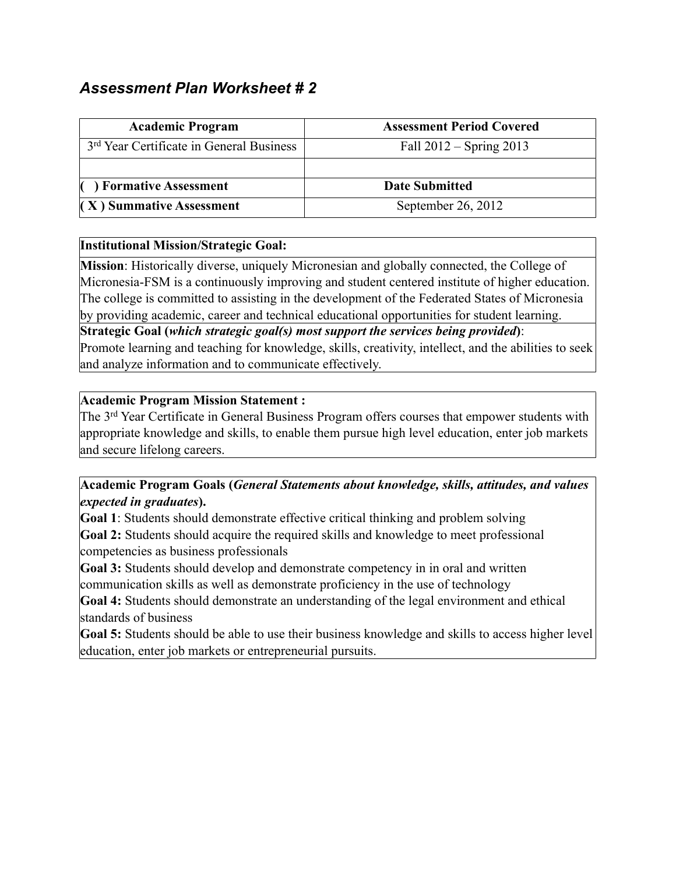# *Assessment Plan Worksheet # 2*

| <b>Academic Program</b>                              | <b>Assessment Period Covered</b> |  |  |
|------------------------------------------------------|----------------------------------|--|--|
| 3 <sup>rd</sup> Year Certificate in General Business | Fall $2012 -$ Spring $2013$      |  |  |
|                                                      |                                  |  |  |
| ) Formative Assessment                               | <b>Date Submitted</b>            |  |  |
| $(X)$ Summative Assessment                           | September 26, 2012               |  |  |

#### **Institutional Mission/Strategic Goal:**

**Mission**: Historically diverse, uniquely Micronesian and globally connected, the College of Micronesia-FSM is a continuously improving and student centered institute of higher education. The college is committed to assisting in the development of the Federated States of Micronesia by providing academic, career and technical educational opportunities for student learning.

**Strategic Goal (***which strategic goal(s) most support the services being provided***)**: Promote learning and teaching for knowledge, skills, creativity, intellect, and the abilities to seek and analyze information and to communicate effectively.

### **Academic Program Mission Statement :**

The 3<sup>rd</sup> Year Certificate in General Business Program offers courses that empower students with appropriate knowledge and skills, to enable them pursue high level education, enter job markets and secure lifelong careers.

## **Academic Program Goals (***General Statements about knowledge, skills, attitudes, and values expected in graduates***).**

**Goal 1**: Students should demonstrate effective critical thinking and problem solving **Goal 2:** Students should acquire the required skills and knowledge to meet professional competencies as business professionals

**Goal 3:** Students should develop and demonstrate competency in in oral and written communication skills as well as demonstrate proficiency in the use of technology

**Goal 4:** Students should demonstrate an understanding of the legal environment and ethical standards of business

**Goal 5:** Students should be able to use their business knowledge and skills to access higher level education, enter job markets or entrepreneurial pursuits.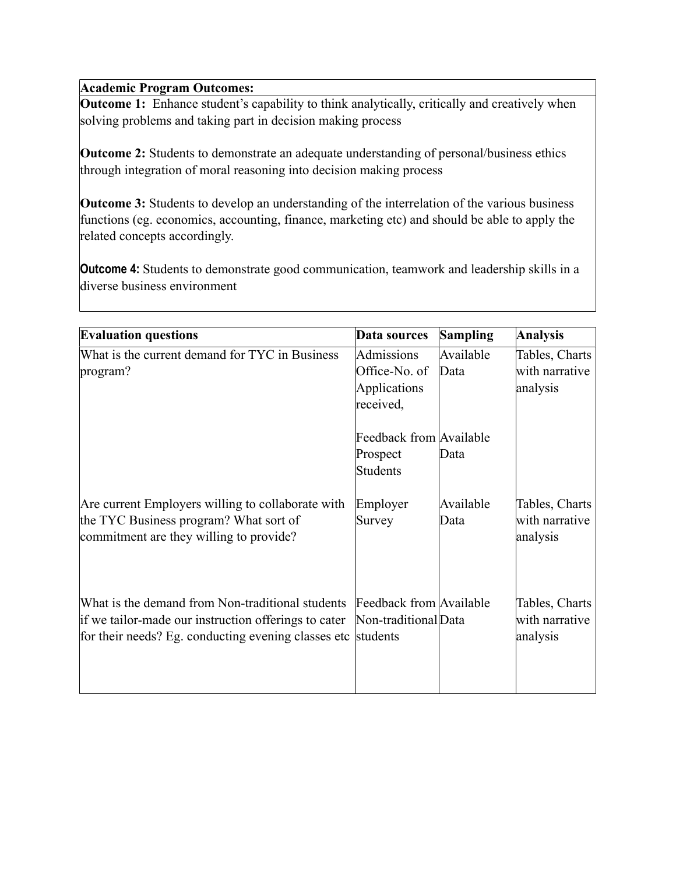#### **Academic Program Outcomes:**

**Outcome 1:** Enhance student's capability to think analytically, critically and creatively when solving problems and taking part in decision making process

**Outcome 2:** Students to demonstrate an adequate understanding of personal/business ethics through integration of moral reasoning into decision making process

**Outcome 3:** Students to develop an understanding of the interrelation of the various business functions (eg. economics, accounting, finance, marketing etc) and should be able to apply the related concepts accordingly.

**Outcome 4:** Students to demonstrate good communication, teamwork and leadership skills in a diverse business environment

| <b>Evaluation questions</b>                                                                                                                                              | Data sources                                             | <b>Sampling</b>   | <b>Analysis</b>                              |
|--------------------------------------------------------------------------------------------------------------------------------------------------------------------------|----------------------------------------------------------|-------------------|----------------------------------------------|
| What is the current demand for TYC in Business<br>program?                                                                                                               | Admissions<br>Office-No. of<br>Applications<br>received, | Available<br>Data | Tables, Charts<br>with narrative<br>analysis |
|                                                                                                                                                                          | Feedback from Available<br>Prospect<br>Students          | Data              |                                              |
| Are current Employers willing to collaborate with<br>the TYC Business program? What sort of<br>commitment are they willing to provide?                                   | Employer<br>Survey                                       | Available<br>Data | Tables, Charts<br>with narrative<br>analysis |
| What is the demand from Non-traditional students<br>if we tailor-made our instruction offerings to cater<br>for their needs? Eg. conducting evening classes etc students | Feedback from Available<br>Non-traditional Data          |                   | Tables, Charts<br>with narrative<br>analysis |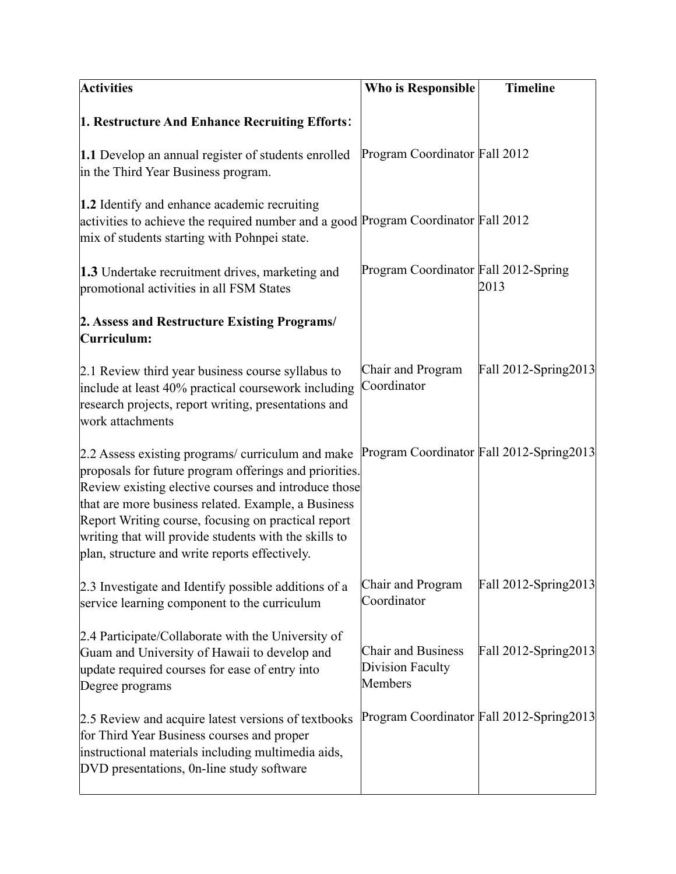| <b>Activities</b>                                                                                                                                                                                                                                                                                                                                                                            | <b>Who is Responsible</b>                                | <b>Timeline</b>                          |
|----------------------------------------------------------------------------------------------------------------------------------------------------------------------------------------------------------------------------------------------------------------------------------------------------------------------------------------------------------------------------------------------|----------------------------------------------------------|------------------------------------------|
| 1. Restructure And Enhance Recruiting Efforts:                                                                                                                                                                                                                                                                                                                                               |                                                          |                                          |
| 1.1 Develop an annual register of students enrolled<br>in the Third Year Business program.                                                                                                                                                                                                                                                                                                   | Program Coordinator Fall 2012                            |                                          |
| 1.2 Identify and enhance academic recruiting<br>activities to achieve the required number and a good Program Coordinator Fall 2012<br>mix of students starting with Pohnpei state.                                                                                                                                                                                                           |                                                          |                                          |
| <b>1.3</b> Undertake recruitment drives, marketing and<br>promotional activities in all FSM States                                                                                                                                                                                                                                                                                           | Program Coordinator Fall 2012-Spring                     | 2013                                     |
| 2. Assess and Restructure Existing Programs/<br>Curriculum:                                                                                                                                                                                                                                                                                                                                  |                                                          |                                          |
| 2.1 Review third year business course syllabus to<br>include at least 40% practical coursework including<br>research projects, report writing, presentations and<br>work attachments                                                                                                                                                                                                         | Chair and Program<br>Coordinator                         | Fall 2012-Spring2013                     |
| 2.2 Assess existing programs/ curriculum and make<br>proposals for future program offerings and priorities.<br>Review existing elective courses and introduce those<br>that are more business related. Example, a Business<br>Report Writing course, focusing on practical report<br>writing that will provide students with the skills to<br>plan, structure and write reports effectively. |                                                          | Program Coordinator Fall 2012-Spring2013 |
| 2.3 Investigate and Identify possible additions of a<br>service learning component to the curriculum                                                                                                                                                                                                                                                                                         | Chair and Program<br>Coordinator                         | Fall 2012-Spring2013                     |
| 2.4 Participate/Collaborate with the University of<br>Guam and University of Hawaii to develop and<br>update required courses for ease of entry into<br>Degree programs                                                                                                                                                                                                                      | <b>Chair and Business</b><br>Division Faculty<br>Members | Fall 2012-Spring 2013                    |
| 2.5 Review and acquire latest versions of textbooks<br>for Third Year Business courses and proper<br>instructional materials including multimedia aids,<br>DVD presentations, 0n-line study software                                                                                                                                                                                         |                                                          | Program Coordinator Fall 2012-Spring2013 |